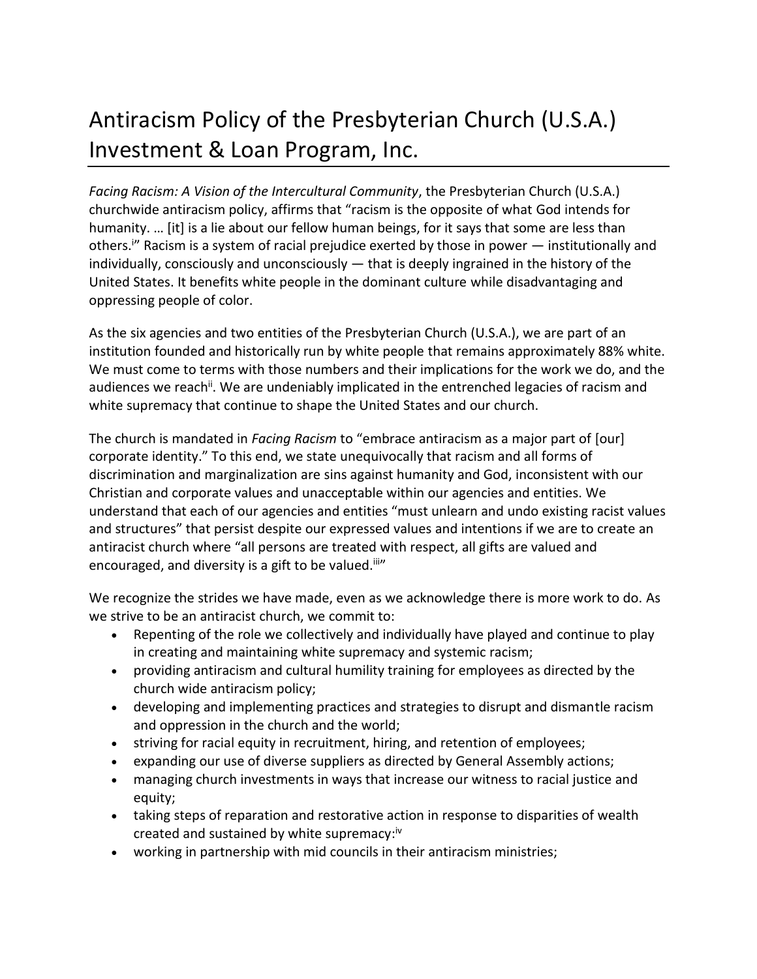## Antiracism Policy of the Presbyterian Church (U.S.A.) Investment & Loan Program, Inc.

*Facing Racism: A Vision of the Intercultural Community*, the Presbyterian Church (U.S.A.) churchwide antiracism policy, affirms that "racism is the opposite of what God intends for humanity. … [it] is a lie about our fellow human beings, for it says that some are less than others.<sup>i</sup>" Racism is a system of racial prejudice exerted by those in power — institutionally and individually, consciously and unconsciously — that is deeply ingrained in the history of the United States. It benefits white people in the dominant culture while disadvantaging and oppressing people of color.

As the six agencies and two entities of the Presbyterian Church (U.S.A.), we are part of an institution founded and historically run by white people that remains approximately 88% white. We must come to terms with those numbers and their implications for the work we do, and the audiences we reach<sup>ii</sup>. We are undeniably implicated in the entrenched legacies of racism and white supremacy that continue to shape the United States and our church.

The church is mandated in *Facing Racism* to "embrace antiracism as a major part of [our] corporate identity." To this end, we state unequivocally that racism and all forms of discrimination and marginalization are sins against humanity and God, inconsistent with our Christian and corporate values and unacceptable within our agencies and entities. We understand that each of our agencies and entities "must unlearn and undo existing racist values and structures" that persist despite our expressed values and intentions if we are to create an antiracist church where "all persons are treated with respect, all gifts are valued and encouraged, and diversity is a gift to be valued.<sup>iii</sup>"

We recognize the strides we have made, even as we acknowledge there is more work to do. As we strive to be an antiracist church, we commit to:

- Repenting of the role we collectively and individually have played and continue to play in creating and maintaining white supremacy and systemic racism;
- providing antiracism and cultural humility training for employees as directed by the church wide antiracism policy;
- developing and implementing practices and strategies to disrupt and dismantle racism and oppression in the church and the world;
- striving for racial equity in recruitment, hiring, and retention of employees;
- expanding our use of diverse suppliers as directed by General Assembly actions;
- managing church investments in ways that increase our witness to racial justice and equity;
- taking steps of reparation and restorative action in response to disparities of wealth created and sustained by white supremacy:<sup>iv</sup>
- working in partnership with mid councils in their antiracism ministries;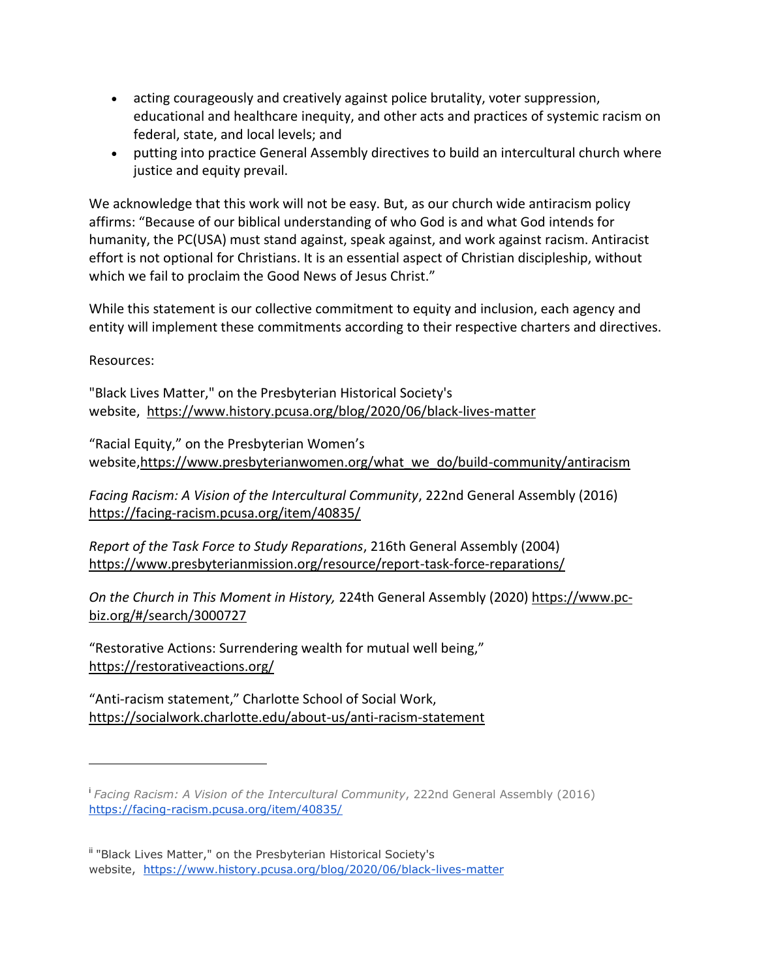- acting courageously and creatively against police brutality, voter suppression, educational and healthcare inequity, and other acts and practices of systemic racism on federal, state, and local levels; and
- putting into practice General Assembly directives to build an intercultural church where justice and equity prevail.

We acknowledge that this work will not be easy. But, as our church wide antiracism policy affirms: "Because of our biblical understanding of who God is and what God intends for humanity, the PC(USA) must stand against, speak against, and work against racism. Antiracist effort is not optional for Christians. It is an essential aspect of Christian discipleship, without which we fail to proclaim the Good News of Jesus Christ."

While this statement is our collective commitment to equity and inclusion, each agency and entity will implement these commitments according to their respective charters and directives.

Resources:

"Black Lives Matter," on the Presbyterian Historical Society's website, <https://www.history.pcusa.org/blog/2020/06/black-lives-matter>

"Racial Equity," on the Presbyterian Women's website[,https://www.presbyterianwomen.org/what\\_we\\_do/build-community/antiracism](https://www.presbyterianwomen.org/what_we_do/build-community/antiracism/)

*Facing Racism: A Vision of the Intercultural Community*, 222nd General Assembly (2016) <https://facing-racism.pcusa.org/item/40835/>

*Report of the Task Force to Study Reparations*, 216th General Assembly (2004) <https://www.presbyterianmission.org/resource/report-task-force-reparations/>

*On the Church in This Moment in History,* 224th General Assembly (2020) [https://www.pc](https://www.pc-biz.org/#/search/3000727)[biz.org/#/search/3000727](https://www.pc-biz.org/#/search/3000727)

"Restorative Actions: Surrendering wealth for mutual well being," <https://restorativeactions.org/>

"Anti-racism statement," Charlotte School of Social Work, <https://socialwork.charlotte.edu/about-us/anti-racism-statement>

i *Facing Racism: A Vision of the Intercultural Community*, 222nd General Assembly (2016) <https://facing-racism.pcusa.org/item/40835/>

ii "Black Lives Matter," on the Presbyterian Historical Society's website, <https://www.history.pcusa.org/blog/2020/06/black-lives-matter>